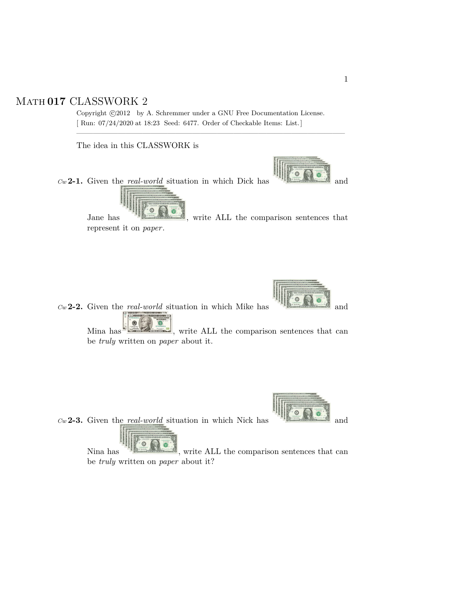## Math **017** CLASSWORK 2

Copyright  $\odot$ 2012 by A. Schremmer under a GNU Free Documentation License. [ Run: 07/24/2020 at 18:23 Seed: 6477. Order of Checkable Items: List.]

————————————————————————————————–

The idea in this CLASSWORK is

 $Cw$  **2-1.** Given the *real-world* situation in which Dick has



Jane has  $\frac{16.60 \times 10^{-10}}{100}$ , write ALL the comparison sentences that represent it on *paper*.



 $Cw$  **2-2.** Given the *real-world* situation in which Mike has and and

Mina has  $\frac{1}{\sqrt{1-\frac{1}{\sqrt{1-\frac{1}{\sqrt{1-\frac{1}{\sqrt{1-\frac{1}{\sqrt{1-\frac{1}{\sqrt{1-\frac{1}{\sqrt{1-\frac{1}{\sqrt{1-\frac{1}{\sqrt{1-\frac{1}{\sqrt{1-\frac{1}{\sqrt{1-\frac{1}{\sqrt{1-\frac{1}{\sqrt{1-\frac{1}{\sqrt{1-\frac{1}{\sqrt{1-\frac{1}{\sqrt{1-\frac{1}{\sqrt{1-\frac{1}{\sqrt{1-\frac{1}{\sqrt{1-\frac{1}{\sqrt{1-\frac{1}{\sqrt{1-\frac{1}{\sqrt{1-\frac{1}{\sqrt{1-\frac{1$ be *truly* written on *paper* about it.

 $C_w$  **2-3.** Given the *real-world* situation in which Nick has **a a** and



 $\circ$  $\overline{\bullet}$ Nina has , write ALL the comparison sentences that can be *truly* written on *paper* about it?